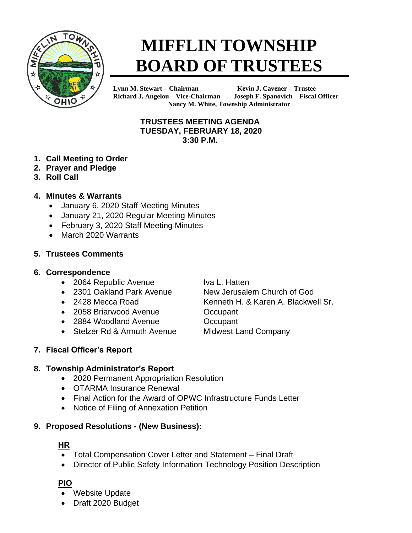

# **MIFFLIN TOWNSHIP BOARD OF TRUSTEES**

**Lynn M. Stewart – Chairman Kevin J. Cavener – Trustee Richard J. Angelou – Vice-Chairman Joseph F. Spanovich – Fiscal Officer Nancy M. White, Township Administrator**

## **TRUSTEES MEETING AGENDA TUESDAY, FEBRUARY 18, 2020 3:30 P.M.**

- **1. Call Meeting to Order**
- **2. Prayer and Pledge**
- **3. Roll Call**
- **4. Minutes & Warrants**
	- January 6, 2020 Staff Meeting Minutes
	- January 21, 2020 Regular Meeting Minutes
	- February 3, 2020 Staff Meeting Minutes
	- March 2020 Warrants

## **5. Trustees Comments**

## **6. Correspondence**

- 2064 Republic Avenue Iva L. Hatten
- 2301 Oakland Park Avenue New Jerusalem Church of God
- 
- 2058 Briarwood Avenue **Occupant**
- 2884 Woodland Avenue **Occupant**
- Stelzer Rd & Armuth Avenue Midwest Land Company

• 2428 Mecca Road Kenneth H. & Karen A. Blackwell Sr.

# **7. Fiscal Officer's Report**

# **8. Township Administrator's Report**

- 2020 Permanent Appropriation Resolution
- OTARMA Insurance Renewal
- Final Action for the Award of OPWC Infrastructure Funds Letter
- Notice of Filing of Annexation Petition

# **9. Proposed Resolutions - (New Business):**

# **HR**

- Total Compensation Cover Letter and Statement Final Draft
- Director of Public Safety Information Technology Position Description

# **PIO**

- Website Update
- Draft 2020 Budget